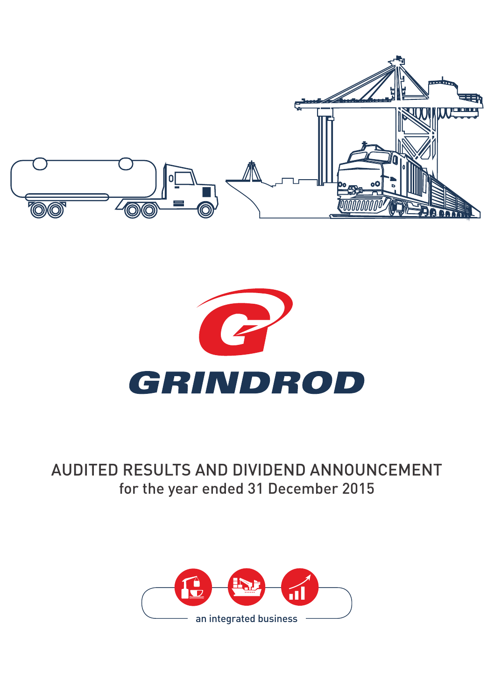



# AUDITED RESULTS AND DIVIDEND ANNOUNCEMENT for the year ended 31 December 2015

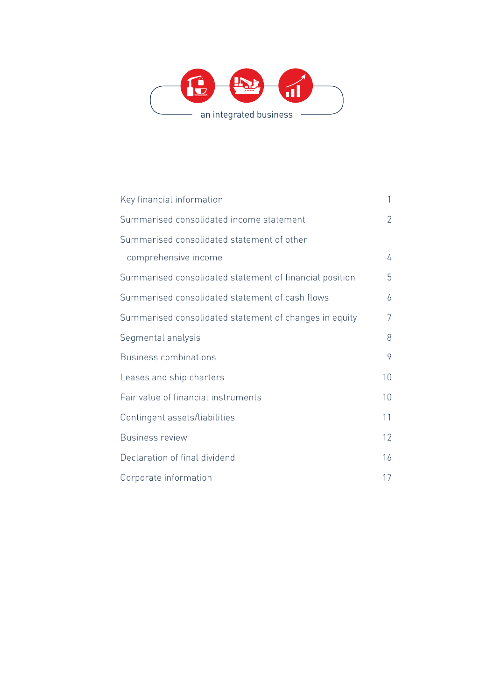

| Key financial information                               | 1               |
|---------------------------------------------------------|-----------------|
| Summarised consolidated income statement                | $\overline{2}$  |
| Summarised consolidated statement of other              |                 |
| comprehensive income                                    | 4               |
| Summarised consolidated statement of financial position | 5               |
| Summarised consolidated statement of cash flows         | 6               |
| Summarised consolidated statement of changes in equity  | 7               |
| Segmental analysis                                      | 8               |
| <b>Business combinations</b>                            | 9               |
| Leases and ship charters                                | 10 <sup>1</sup> |
| Fair value of financial instruments                     | 10              |
| Contingent assets/liabilities                           | 11              |
| <b>Business review</b>                                  | 12 <sup>°</sup> |
| Declaration of final dividend                           | 16              |
| Corporate information                                   | 17              |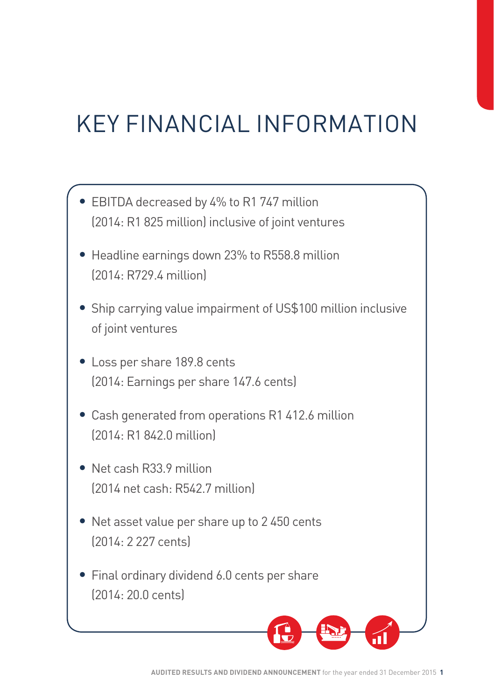# KEY FINANCIAL INFORMATION

- EBITDA decreased by 4% to R1 747 million (2014: R1 825 million) inclusive of joint ventures
- Headline earnings down 23% to R558.8 million (2014: R729.4 million)
- Ship carrying value impairment of US\$100 million inclusive of joint ventures
- Loss per share 189.8 cents (2014: Earnings per share 147.6 cents)
- Cash generated from operations R1 412.6 million (2014: R1 842.0 million)
- Net cash R33.9 million (2014 net cash: R542.7 million)
- Net asset value per share up to 2 450 cents (2014: 2 227 cents)
- Final ordinary dividend 6.0 cents per share (2014: 20.0 cents)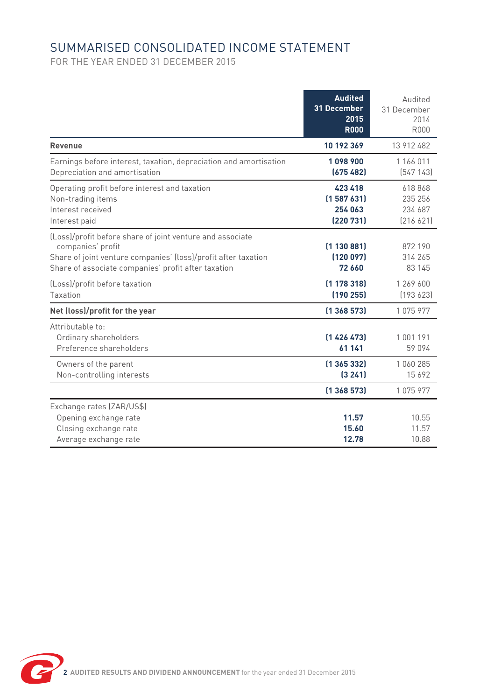# SUMMARISED CONSOLIDATED INCOME STATEMENT

FOR THE YEAR ENDED 31 DECEMBER 2015

|                                                                                                                                                                                                         | <b>Audited</b><br>31 December<br>2015<br><b>R000</b> | Audited<br>31 December<br>2014<br><b>R000</b> |
|---------------------------------------------------------------------------------------------------------------------------------------------------------------------------------------------------------|------------------------------------------------------|-----------------------------------------------|
| Revenue                                                                                                                                                                                                 | 10 192 369                                           | 13 912 482                                    |
| Earnings before interest, taxation, depreciation and amortisation<br>Depreciation and amortisation                                                                                                      | 1098900<br>(675482)                                  | 1 166 011<br>[547143]                         |
| Operating profit before interest and taxation<br>Non-trading items<br>Interest received<br>Interest paid                                                                                                | 423 418<br>[1587 631]<br>254 063<br>(220731)         | 618868<br>235 256<br>234 687<br>[216621]      |
| (Loss)/profit before share of joint venture and associate<br>companies' profit<br>Share of joint venture companies' (loss)/profit after taxation<br>Share of associate companies' profit after taxation | (1130881)<br>[120 097]<br>72 660                     | 872 190<br>314 265<br>83 145                  |
| (Loss)/profit before taxation<br>Taxation                                                                                                                                                               | [1 178 318]<br>[190 255]                             | 1 269 600<br>[193623]                         |
| Net (loss)/profit for the year                                                                                                                                                                          | (1368573)                                            | 1075977                                       |
| Attributable to:<br>Ordinary shareholders<br>Preference shareholders                                                                                                                                    | [1426473]<br>61 141                                  | 1001191<br>59 094                             |
| Owners of the parent<br>Non-controlling interests                                                                                                                                                       | [1 365 332]<br>(3241)                                | 1060285<br>15 692                             |
|                                                                                                                                                                                                         | (1368573)                                            | 1075977                                       |
| Exchange rates (ZAR/US\$)<br>Opening exchange rate<br>Closing exchange rate<br>Average exchange rate                                                                                                    | 11.57<br>15.60<br>12.78                              | 10.55<br>11.57<br>10.88                       |

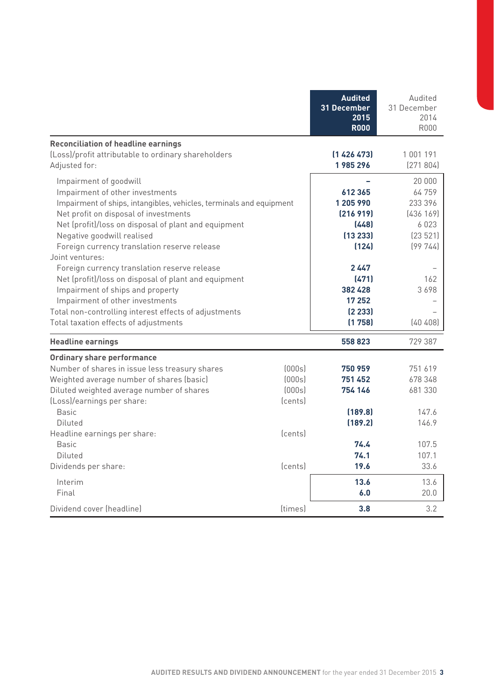|                                                                                                                                                                                                                                                                                                                                                                                                                                                                                                                                                                                                                     |                                                             | <b>Audited</b><br>31 December<br>2015<br><b>R000</b>                                                                     | Audited<br>31 December<br>2014<br>R000                                                            |
|---------------------------------------------------------------------------------------------------------------------------------------------------------------------------------------------------------------------------------------------------------------------------------------------------------------------------------------------------------------------------------------------------------------------------------------------------------------------------------------------------------------------------------------------------------------------------------------------------------------------|-------------------------------------------------------------|--------------------------------------------------------------------------------------------------------------------------|---------------------------------------------------------------------------------------------------|
| <b>Reconciliation of headline earnings</b><br>(Loss)/profit attributable to ordinary shareholders<br>Adjusted for:                                                                                                                                                                                                                                                                                                                                                                                                                                                                                                  |                                                             | (1426473)<br>1985296                                                                                                     | 1 001 191<br>[271804]                                                                             |
| Impairment of goodwill<br>Impairment of other investments<br>Impairment of ships, intangibles, vehicles, terminals and equipment<br>Net profit on disposal of investments<br>Net (profit)/loss on disposal of plant and equipment<br>Negative goodwill realised<br>Foreign currency translation reserve release<br>Joint ventures:<br>Foreign currency translation reserve release<br>Net (profit)/loss on disposal of plant and equipment<br>Impairment of ships and property<br>Impairment of other investments<br>Total non-controlling interest effects of adjustments<br>Total taxation effects of adjustments |                                                             | 612365<br>1 205 990<br>[216919]<br>(448)<br>(13233)<br>(124)<br>2447<br>(471)<br>382 428<br>17 25 2<br>[2 233]<br>(1758) | 20 000<br>64759<br>233 396<br>[436 169]<br>6023<br>[23 521]<br>[99744]<br>162<br>3698<br>[40 408] |
| <b>Headline earnings</b>                                                                                                                                                                                                                                                                                                                                                                                                                                                                                                                                                                                            |                                                             | 558823                                                                                                                   | 729 387                                                                                           |
| Ordinary share performance<br>Number of shares in issue less treasury shares<br>Weighted average number of shares (basic)<br>Diluted weighted average number of shares<br>(Loss)/earnings per share:<br><b>Basic</b><br>Diluted<br>Headline earnings per share:<br><b>Basic</b><br>Diluted                                                                                                                                                                                                                                                                                                                          | [000s]<br>[000s]<br>[000s]<br>(cents)<br>(cents)<br>(cents) | 750 959<br>751 452<br>754 146<br>(189.8)<br>(189.2)<br>74.4<br>74.1<br>19.6                                              | 751619<br>678 348<br>681 330<br>147.6<br>146.9<br>107.5<br>107.1<br>33.6                          |
| Dividends per share:                                                                                                                                                                                                                                                                                                                                                                                                                                                                                                                                                                                                |                                                             |                                                                                                                          |                                                                                                   |
| Interim<br>Final                                                                                                                                                                                                                                                                                                                                                                                                                                                                                                                                                                                                    |                                                             | 13.6<br>6.0                                                                                                              | 13.6<br>20.0                                                                                      |
| Dividend cover (headline)                                                                                                                                                                                                                                                                                                                                                                                                                                                                                                                                                                                           | <i>(times)</i>                                              | 3.8                                                                                                                      | 3.2                                                                                               |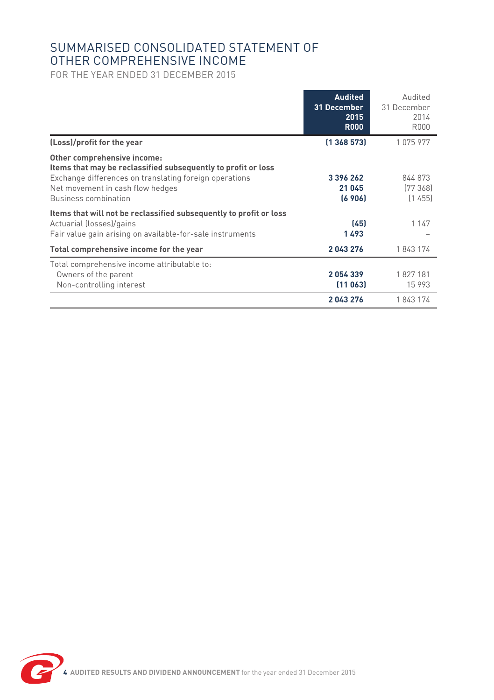## SUMMARISED CONSOLIDATED STATEMENT OF OTHER COMPREHENSIVE INCOME

FOR THE YEAR ENDED 31 DECEMBER 2015

|                                                                                                                                                                                                                    | <b>Audited</b><br>31 December<br>2015<br><b>R000</b> | Audited<br>31 December<br>2014<br>R000 |
|--------------------------------------------------------------------------------------------------------------------------------------------------------------------------------------------------------------------|------------------------------------------------------|----------------------------------------|
| (Loss)/profit for the year                                                                                                                                                                                         | (1368573)                                            | 1075977                                |
| Other comprehensive income:<br>Items that may be reclassified subsequently to profit or loss<br>Exchange differences on translating foreign operations<br>Net movement in cash flow hedges<br>Business combination | 3396262<br>21 045<br>(6906)                          | 844 873<br>[77368]<br>(1455)           |
| Items that will not be reclassified subsequently to profit or loss<br>Actuarial (losses)/gains<br>Fair value gain arising on available-for-sale instruments                                                        | (45)<br>1493                                         | 1 1 4 7                                |
| Total comprehensive income for the year                                                                                                                                                                            | 2043276                                              | 1843174                                |
| Total comprehensive income attributable to:<br>Owners of the parent<br>Non-controlling interest                                                                                                                    | 2054339<br>(11063)                                   | 1827181<br>15 9 93                     |
|                                                                                                                                                                                                                    | 2043276                                              | 1843174                                |

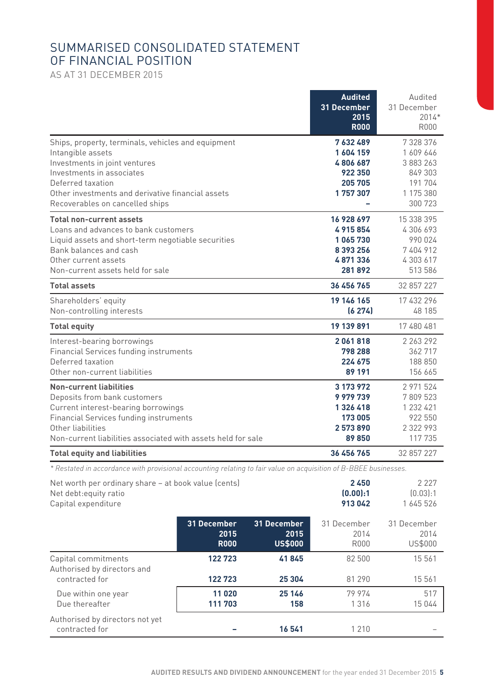## SUMMARISED CONSOLIDATED STATEMENT OF FINANCIAL POSITION

AS AT 31 DECEMBER 2015

|                                                                                                                                                                                                                                                    | <b>Audited</b><br>31 December<br>2015<br><b>R000</b>               | Audited<br>31 December<br>$2014*$<br><b>R000</b>                                  |
|----------------------------------------------------------------------------------------------------------------------------------------------------------------------------------------------------------------------------------------------------|--------------------------------------------------------------------|-----------------------------------------------------------------------------------|
| Ships, property, terminals, vehicles and equipment<br>Intangible assets<br>Investments in joint ventures<br>Investments in associates<br>Deferred taxation<br>Other investments and derivative financial assets<br>Recoverables on cancelled ships | 7632489<br>1604159<br>4806687<br>922 350<br>205 705<br>1757307     | 7 328 376<br>1 609 646<br>3 883 263<br>849 303<br>191 704<br>1 175 380<br>300 723 |
| <b>Total non-current assets</b><br>Loans and advances to bank customers<br>Liquid assets and short-term negotiable securities<br>Bank balances and cash<br>Other current assets<br>Non-current assets held for sale                                | 16 928 697<br>4915854<br>1065730<br>8 393 256<br>4871336<br>281892 | 15 338 395<br>4 306 693<br>990 024<br>7404912<br>4 303 617<br>513 586             |
| <b>Total assets</b>                                                                                                                                                                                                                                | 36 456 765                                                         | 32 857 227                                                                        |
| Shareholders' equity<br>Non-controlling interests                                                                                                                                                                                                  | 19 146 165<br>(6274)                                               | 17 432 296<br>48 185                                                              |
| <b>Total equity</b>                                                                                                                                                                                                                                | 19 139 891                                                         | 17 480 481                                                                        |
| Interest-bearing borrowings<br>Financial Services funding instruments<br>Deferred taxation<br>Other non-current liabilities                                                                                                                        | 2061818<br>798 288<br>224 675<br>89 191                            | 2 263 292<br>362717<br>188 850<br>156 665                                         |
| <b>Non-current liabilities</b><br>Deposits from bank customers<br>Current interest-bearing borrowings<br>Financial Services funding instruments<br>Other liabilities<br>Non-current liabilities associated with assets held for sale               | 3 173 972<br>9979739<br>1326418<br>173 005<br>2573890<br>89850     | 2 971 524<br>7809523<br>1 232 421<br>922 550<br>2 322 993<br>117 735              |
| <b>Total equity and liabilities</b>                                                                                                                                                                                                                | 36 456 765                                                         | 32 857 227                                                                        |

*\* Restated in accordance with provisional accounting relating to fair value on acquisition of B-BBEE businesses.*

| Net worth per ordinary share - at book value (cents)<br>Net debt: equity ratio<br>Capital expenditure |                                    |                                       | 2450<br>[0.00]:1<br>913042  | 2 2 2 7<br>[0.03]:1<br>1 645 526 |
|-------------------------------------------------------------------------------------------------------|------------------------------------|---------------------------------------|-----------------------------|----------------------------------|
|                                                                                                       | 31 December<br>2015<br><b>R000</b> | 31 December<br>2015<br><b>US\$000</b> | 31 December<br>2014<br>R000 | 31 December<br>2014<br>US\$000   |
| Capital commitments<br>Authorised by directors and<br>contracted for                                  | 122723<br>122723                   | 41845<br>25 304                       | 82 500<br>81 290            | 15 561<br>15 5 6 1               |
| Due within one year<br>Due thereafter                                                                 | 11 020<br>111 703                  | 25 146<br>158                         | 79 974<br>1316              | 517<br>15 044                    |
| Authorised by directors not yet<br>contracted for                                                     |                                    | 16541                                 | 1 2 1 0                     |                                  |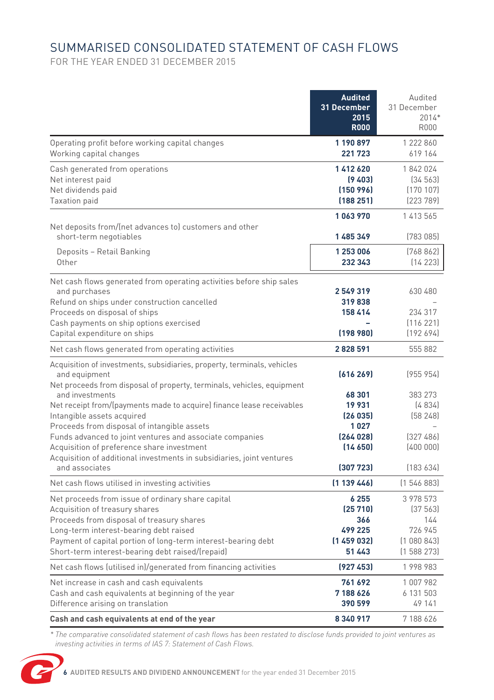# SUMMARISED CONSOLIDATED STATEMENT OF CASH FLOWS

FOR THE YEAR ENDED 31 DECEMBER 2015

|                                                                                                                                                                                                                                                                                                 | <b>Audited</b><br>31 December<br>2015<br><b>R000</b>       | Audited<br>31 December<br>$2014*$<br><b>R000</b>                  |
|-------------------------------------------------------------------------------------------------------------------------------------------------------------------------------------------------------------------------------------------------------------------------------------------------|------------------------------------------------------------|-------------------------------------------------------------------|
| Operating profit before working capital changes<br>Working capital changes                                                                                                                                                                                                                      | 1 190 897<br>221723                                        | 1 222 860<br>619 164                                              |
| Cash generated from operations<br>Net interest paid<br>Net dividends paid<br>Taxation paid                                                                                                                                                                                                      | 1412620<br>(9, 403)<br>(150996)<br>(188251)                | 1842024<br>[34 563]<br>[170107]<br>[223 789]                      |
| Net deposits from/(net advances to) customers and other<br>short-term negotiables                                                                                                                                                                                                               | 1063970<br>1485349                                         | 1 413 565<br>(783085)                                             |
| Deposits - Retail Banking<br>Other                                                                                                                                                                                                                                                              | 1 253 006<br>232 343                                       | [768 862]<br>(14223)                                              |
| Net cash flows generated from operating activities before ship sales<br>and purchases<br>Refund on ships under construction cancelled<br>Proceeds on disposal of ships<br>Cash payments on ship options exercised<br>Capital expenditure on ships                                               | 2549319<br>319838<br>158 414<br>(198980)                   | 630 480<br>234 317<br>(116221)<br>(192694)                        |
| Net cash flows generated from operating activities                                                                                                                                                                                                                                              | 2828591                                                    | 555 882                                                           |
| Acquisition of investments, subsidiaries, property, terminals, vehicles<br>and equipment<br>Net proceeds from disposal of property, terminals, vehicles, equipment                                                                                                                              | [616269]                                                   | (955954)                                                          |
| and investments<br>Net receipt from/(payments made to acquire) finance lease receivables<br>Intangible assets acquired<br>Proceeds from disposal of intangible assets<br>Funds advanced to joint ventures and associate companies<br>Acquisition of preference share investment                 | 68 301<br>19931<br>(26035)<br>1027<br>(264 028)<br>(14650) | 383 273<br>[4834]<br>(58248)<br>[327 486]<br>(400000)             |
| Acquisition of additional investments in subsidiaries, joint ventures<br>and associates                                                                                                                                                                                                         | (307723)                                                   | (183634)                                                          |
| Net cash flows utilised in investing activities                                                                                                                                                                                                                                                 | [1 139 446]                                                | (1546883)                                                         |
| Net proceeds from issue of ordinary share capital<br>Acquisition of treasury shares<br>Proceeds from disposal of treasury shares<br>Long-term interest-bearing debt raised<br>Payment of capital portion of long-term interest-bearing debt<br>Short-term interest-bearing debt raised/(repaid) | 6255<br>(25710)<br>366<br>499 225<br>(1459032)<br>51 4 43  | 3 978 573<br>[37 563]<br>144<br>726 945<br>(1080843)<br>(1588273) |
| Net cash flows (utilised in)/generated from financing activities                                                                                                                                                                                                                                | (927453)                                                   | 1998983                                                           |
| Net increase in cash and cash equivalents<br>Cash and cash equivalents at beginning of the year<br>Difference arising on translation                                                                                                                                                            | 761 692<br>7188626<br>390599                               | 1007982<br>6 131 503<br>49 141                                    |
| Cash and cash equivalents at end of the year                                                                                                                                                                                                                                                    | 8340917                                                    | 7 188 626                                                         |

*\* The comparative consolidated statement of cash flows has been restated to disclose funds provided to joint ventures as investing activities in terms of IAS 7: Statement of Cash Flows.*

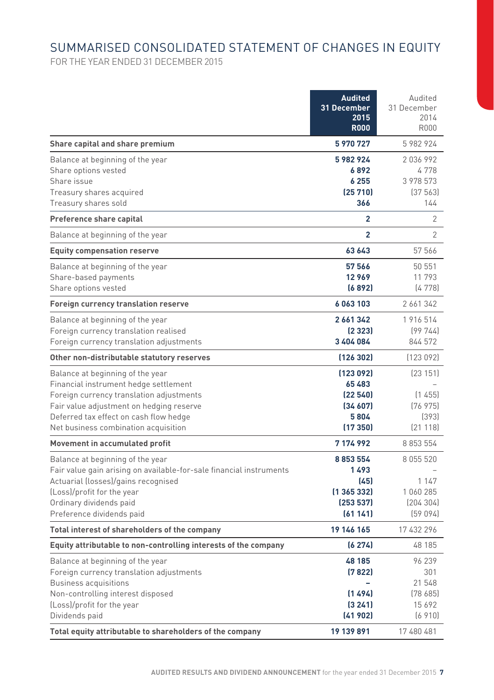# SUMMARISED CONSOLIDATED STATEMENT OF CHANGES IN EQUITY

FOR THE YEAR ENDED 31 DECEMBER 2015

|                                                                                                                                                                                                                                                     | <b>Audited</b><br>31 December<br>2015<br><b>R000</b>              | Audited<br>31 December<br>2014<br><b>R000</b>          |
|-----------------------------------------------------------------------------------------------------------------------------------------------------------------------------------------------------------------------------------------------------|-------------------------------------------------------------------|--------------------------------------------------------|
| Share capital and share premium                                                                                                                                                                                                                     | 5 970 727                                                         | 5 982 924                                              |
| Balance at beginning of the year<br>Share options vested<br>Share issue<br>Treasury shares acquired<br>Treasury shares sold                                                                                                                         | 5982924<br>6892<br>6 2 5 5<br>(25710)<br>366                      | 2036992<br>4778<br>3 978 573<br>[37563]<br>144         |
| Preference share capital                                                                                                                                                                                                                            | $\overline{2}$                                                    | $\overline{2}$                                         |
| Balance at beginning of the year                                                                                                                                                                                                                    | $\overline{2}$                                                    | 2                                                      |
| <b>Equity compensation reserve</b>                                                                                                                                                                                                                  | 63 643                                                            | 57 566                                                 |
| Balance at beginning of the year<br>Share-based payments<br>Share options vested                                                                                                                                                                    | 57 566<br>12969<br>(6892)                                         | 50 551<br>11793<br>(4778)                              |
| Foreign currency translation reserve                                                                                                                                                                                                                | 6063103                                                           | 2 661 342                                              |
| Balance at beginning of the year<br>Foreign currency translation realised<br>Foreign currency translation adjustments                                                                                                                               | 2 661 342<br>[2 323]<br>3 404 084                                 | 1 916 514<br>[99744]<br>844 572                        |
| Other non-distributable statutory reserves                                                                                                                                                                                                          | (126302)                                                          | [123092]                                               |
| Balance at beginning of the year<br>Financial instrument hedge settlement<br>Foreign currency translation adjustments<br>Fair value adjustment on hedging reserve<br>Deferred tax effect on cash flow hedge<br>Net business combination acquisition | (123092)<br>65483<br>(22540)<br>(34607)<br>5804<br>(17350)        | [23 151]<br>(1455)<br>[76975]<br>(393)<br>[21118]      |
| Movement in accumulated profit                                                                                                                                                                                                                      | 7174992                                                           | 8 853 554                                              |
| Balance at beginning of the year<br>Fair value gain arising on available-for-sale financial instruments<br>Actuarial (losses)/gains recognised<br>(Loss)/profit for the year<br>Ordinary dividends paid<br>Preference dividends paid                | 8 8 5 3 5 5 4<br>1493<br>(45)<br>(1365332)<br>(253537)<br>(61141) | 8 055 520<br>1 1 4 7<br>1060285<br>(204304)<br>(59094) |
| Total interest of shareholders of the company                                                                                                                                                                                                       | 19 146 165                                                        | 17 432 296                                             |
| Equity attributable to non-controlling interests of the company                                                                                                                                                                                     | (6274)                                                            | 48 185                                                 |
| Balance at beginning of the year<br>Foreign currency translation adjustments<br><b>Business acquisitions</b><br>Non-controlling interest disposed<br>(Loss)/profit for the year<br>Dividends paid                                                   | 48 185<br>(7822)<br>[1494]<br>(3241)<br>(41902)                   | 96 239<br>301<br>21 548<br>[78685]<br>15692<br>(6910)  |
| Total equity attributable to shareholders of the company                                                                                                                                                                                            | 19 139 891                                                        | 17 480 481                                             |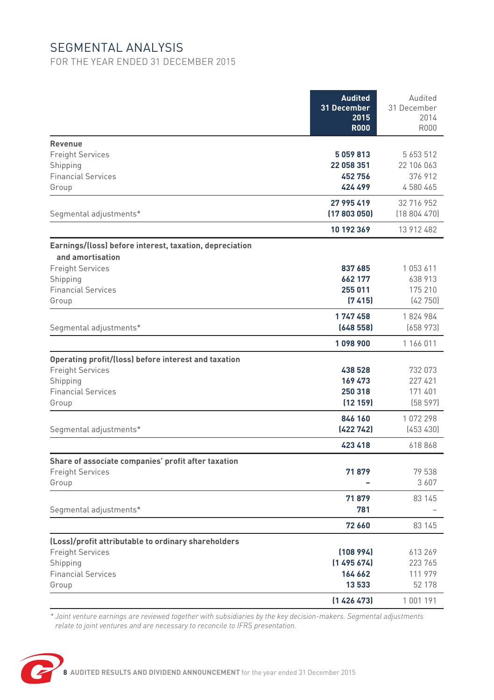# SEGMENTAL ANALYSIS

FOR THE YEAR ENDED 31 DECEMBER 2015

|                                                                                | <b>Audited</b><br>31 December<br>2015<br><b>R000</b> | Audited<br>31 December<br>2014<br><b>R000</b> |
|--------------------------------------------------------------------------------|------------------------------------------------------|-----------------------------------------------|
| Revenue                                                                        |                                                      |                                               |
| <b>Freight Services</b>                                                        | 5059813                                              | 5 653 512                                     |
| Shipping                                                                       | 22 058 351                                           | 22 106 063                                    |
| <b>Financial Services</b>                                                      | 452756                                               | 376 912                                       |
| Group                                                                          | 424 499                                              | 4580465                                       |
|                                                                                | 27 995 419                                           | 32 716 952                                    |
| Segmental adjustments*                                                         | (17803050)                                           | (18804470)                                    |
|                                                                                | 10 192 369                                           | 13 912 482                                    |
| Earnings/(loss) before interest, taxation, depreciation                        |                                                      |                                               |
| and amortisation                                                               |                                                      |                                               |
| <b>Freight Services</b>                                                        | 837 685                                              | 1053611                                       |
| Shipping                                                                       | 662 177                                              | 638 913                                       |
| <b>Financial Services</b>                                                      | 255 011                                              | 175 210                                       |
| Group                                                                          | (7415)                                               | (42750)                                       |
|                                                                                | 1747458                                              | 1824984                                       |
| Segmental adjustments*                                                         | (648558)                                             | (658973)                                      |
|                                                                                | 1098900                                              | 1 166 011                                     |
| Operating profit/(loss) before interest and taxation                           |                                                      |                                               |
| <b>Freight Services</b>                                                        | 438 528                                              | 732 073                                       |
| Shipping                                                                       | 169 473                                              | 227 421                                       |
| <b>Financial Services</b>                                                      | 250318                                               | 171 401                                       |
| Group                                                                          | (12159)                                              | (58597)                                       |
|                                                                                | 846 160                                              | 1072298                                       |
| Segmental adjustments*                                                         | (422 742)                                            | (453430)                                      |
|                                                                                | 423 418                                              | 618868                                        |
| Share of associate companies' profit after taxation                            |                                                      |                                               |
| <b>Freight Services</b>                                                        | 71879                                                | 79 538                                        |
| Group                                                                          |                                                      | 3607                                          |
|                                                                                | 71879                                                | 83 145                                        |
| Segmental adjustments*                                                         | 781                                                  |                                               |
|                                                                                | 72 660                                               | 83 145                                        |
|                                                                                |                                                      |                                               |
| (Loss)/profit attributable to ordinary shareholders<br><b>Freight Services</b> | (108994)                                             | 613269                                        |
| Shipping                                                                       | (1495674)                                            | 223 765                                       |
| <b>Financial Services</b>                                                      | 164 662                                              | 111 979                                       |
| Group                                                                          | 13533                                                | 52 178                                        |
|                                                                                | [1426473]                                            | 1 001 191                                     |

*\* Joint venture earnings are reviewed together with subsidiaries by the key decision-makers. Segmental adjustments relate to joint ventures and are necessary to reconcile to IFRS presentation.*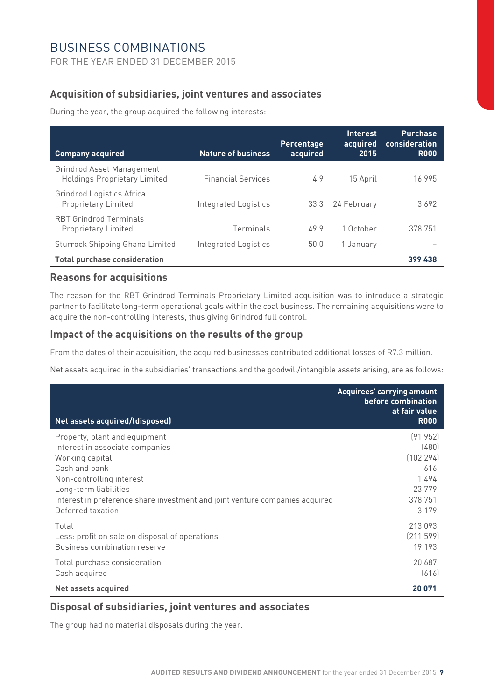## BUSINESS COMBINATIONS

FOR THE YEAR ENDED 31 DECEMBER 2015

## **Acquisition of subsidiaries, joint ventures and associates**

During the year, the group acquired the following interests:

| <b>Company acquired</b>                                          | <b>Nature of business</b> | Percentage<br>acquired | Interest<br>acquired<br>2015 | <b>Purchase</b><br>consideration<br><b>R000</b> |
|------------------------------------------------------------------|---------------------------|------------------------|------------------------------|-------------------------------------------------|
| Grindrod Asset Management<br><b>Holdings Proprietary Limited</b> | <b>Financial Services</b> | 4.9                    | 15 April                     | 16 995                                          |
| Grindrod Logistics Africa<br><b>Proprietary Limited</b>          | Integrated Logistics      | 33.3                   | 24 February                  | 3692                                            |
| <b>RBT Grindrod Terminals</b><br>Proprietary Limited             | Terminals                 | 499                    | 1 October                    | 378 751                                         |
| Sturrock Shipping Ghana Limited                                  | Integrated Logistics      | 50.0                   | 1 January                    |                                                 |
| <b>Total purchase consideration</b>                              |                           |                        |                              | 399 438                                         |

## **Reasons for acquisitions**

The reason for the RBT Grindrod Terminals Proprietary Limited acquisition was to introduce a strategic partner to facilitate long-term operational goals within the coal business. The remaining acquisitions were to acquire the non-controlling interests, thus giving Grindrod full control.

#### **Impact of the acquisitions on the results of the group**

From the dates of their acquisition, the acquired businesses contributed additional losses of R7.3 million.

Net assets acquired in the subsidiaries' transactions and the goodwill/intangible assets arising, are as follows:

| Net assets acquired/(disposed)                                               | Acquirees' carrying amount<br>before combination<br>at fair value<br><b>R000</b> |
|------------------------------------------------------------------------------|----------------------------------------------------------------------------------|
| Property, plant and equipment                                                | [91952]                                                                          |
| Interest in associate companies                                              | (480)                                                                            |
| Working capital                                                              | (102294)                                                                         |
| Cash and bank                                                                | 616                                                                              |
| Non-controlling interest                                                     | 1494                                                                             |
| Long-term liabilities                                                        | 23779                                                                            |
| Interest in preference share investment and joint venture companies acquired | 378 751                                                                          |
| Deferred taxation                                                            | 3 1 7 9                                                                          |
| Total                                                                        | 213 093                                                                          |
| Less: profit on sale on disposal of operations                               | [211599]                                                                         |
| Business combination reserve                                                 | 19 193                                                                           |
| Total purchase consideration                                                 | 20 687                                                                           |
| Cash acquired                                                                | [616]                                                                            |
| Net assets acquired                                                          | 20 071                                                                           |

#### **Disposal of subsidiaries, joint ventures and associates**

The group had no material disposals during the year.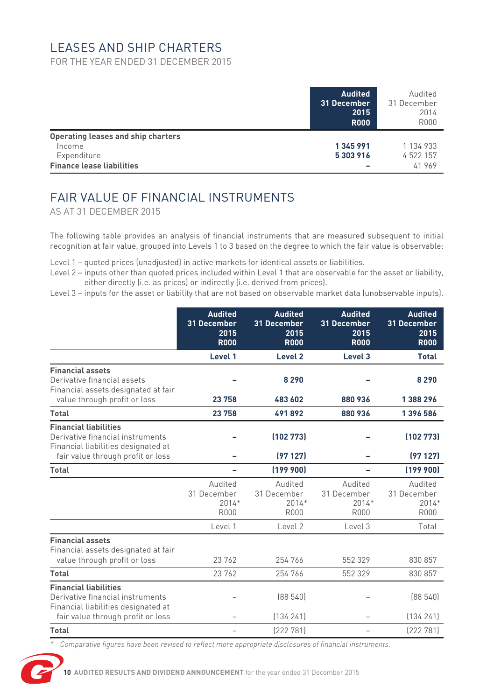## LEASES AND SHIP CHARTERS

FOR THE YEAR ENDED 31 DECEMBER 2015

|                                                                                                 | <b>Audited</b><br>31 December<br>2015<br><b>R000</b> | Audited<br>31 December<br>2014<br><b>R000</b> |
|-------------------------------------------------------------------------------------------------|------------------------------------------------------|-----------------------------------------------|
| Operating leases and ship charters<br>Income<br>Expenditure<br><b>Finance lease liabilities</b> | 1345991<br>5303916<br>-                              | 1 134 933<br>4 522 157<br>41969               |

# FAIR VALUE OF FINANCIAL INSTRUMENTS

AS AT 31 DECEMBER 2015

The following table provides an analysis of financial instruments that are measured subsequent to initial recognition at fair value, grouped into Levels 1 to 3 based on the degree to which the fair value is observable:

- Level 1 quoted prices (unadjusted) in active markets for identical assets or liabilities.
- Level 2 inputs other than quoted prices included within Level 1 that are observable for the asset or liability, either directly (i.e. as prices) or indirectly (i.e. derived from prices).
- Level 3 inputs for the asset or liability that are not based on observable market data (unobservable inputs).

|                                                                                                         | <b>Audited</b><br>31 December<br>2015<br><b>R000</b> | <b>Audited</b><br>31 December<br>2015<br><b>R000</b> | <b>Audited</b><br>31 December<br>2015<br><b>R000</b> | <b>Audited</b><br>31 December<br>2015<br><b>R000</b> |
|---------------------------------------------------------------------------------------------------------|------------------------------------------------------|------------------------------------------------------|------------------------------------------------------|------------------------------------------------------|
|                                                                                                         | Level 1                                              | Level <sub>2</sub>                                   | Level 3                                              | <b>Total</b>                                         |
| <b>Financial assets</b><br>Derivative financial assets<br>Financial assets designated at fair           |                                                      | 8290                                                 |                                                      | 8 2 9 0                                              |
| value through profit or loss                                                                            | 23758                                                | 483 602                                              | 880936                                               | 1388296                                              |
| Total                                                                                                   | 23758                                                | 491892                                               | 880936                                               | 1396586                                              |
| <b>Financial liabilities</b><br>Derivative financial instruments<br>Financial liabilities designated at |                                                      | (102773)                                             |                                                      | (102773)                                             |
| fair value through profit or loss                                                                       |                                                      | (97127)                                              |                                                      | (97127)                                              |
| Total                                                                                                   |                                                      | [199 900]                                            |                                                      | (199900)                                             |
|                                                                                                         | Audited<br>31 December<br>$2014*$<br><b>R000</b>     | Audited<br>31 December<br>$2014*$<br><b>R000</b>     | Audited<br>31 December<br>$2014*$<br><b>R000</b>     | Audited<br>31 December<br>$2014*$<br><b>R000</b>     |
|                                                                                                         | Level 1                                              | Level <sub>2</sub>                                   | Level 3                                              | Total                                                |
| <b>Financial assets</b><br>Financial assets designated at fair<br>value through profit or loss          | 23762                                                | 254 766                                              | 552 329                                              | 830 857                                              |
| Total                                                                                                   | 23762                                                | 254 766                                              | 552 329                                              | 830 857                                              |
| <b>Financial liabilities</b><br>Derivative financial instruments<br>Financial liabilities designated at |                                                      | [88540]                                              |                                                      | [88540]                                              |
| fair value through profit or loss                                                                       |                                                      | [134 241]                                            |                                                      | [134 241]                                            |
| Total                                                                                                   | -                                                    | [222781]                                             | $\overline{\phantom{0}}$                             | (222 781)                                            |

*\* Comparative figures have been revised to reflect more appropriate disclosures of financial instruments.*

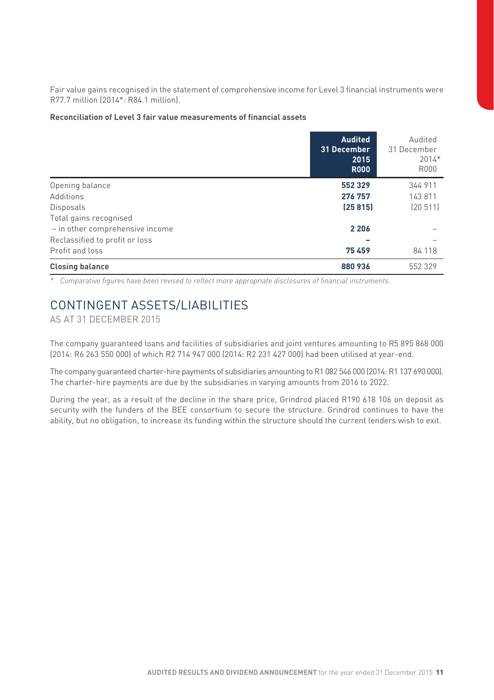Fair value gains recognised in the statement of comprehensive income for Level 3 financial instruments were R77.7 million (2014\*: R84.1 million).

#### **Reconciliation of Level 3 fair value measurements of financial assets**

|                                 | <b>Audited</b><br>31 December<br>2015<br><b>R000</b> | Audited<br>31 December<br>$2014*$<br><b>R000</b> |
|---------------------------------|------------------------------------------------------|--------------------------------------------------|
| Opening balance                 | 552329                                               | 344 911                                          |
| Additions                       | 276 757                                              | 143 811                                          |
| Disposals                       | (25815)                                              | [20511]                                          |
| Total gains recognised          |                                                      |                                                  |
| - in other comprehensive income | 2 2 0 6                                              |                                                  |
| Reclassified to profit or loss  |                                                      |                                                  |
| Profit and loss                 | 75459                                                | 84 118                                           |
| <b>Closing balance</b>          | 880936                                               | 552 329                                          |

*\* Comparative figures have been revised to reflect more appropriate disclosures of financial instruments*.

## CONTINGENT ASSETS/LIABILITIES

AS AT 31 DECEMBER 2015

The company guaranteed loans and facilities of subsidiaries and joint ventures amounting to R5 895 868 000 (2014: R6 263 550 000) of which R2 714 947 000 (2014: R2 231 427 000) had been utilised at year-end.

The company guaranteed charter-hire payments of subsidiaries amounting to R1 082 546 000 (2014: R1 137 690 000). The charter-hire payments are due by the subsidiaries in varying amounts from 2016 to 2022.

During the year, as a result of the decline in the share price, Grindrod placed R190 618 106 on deposit as security with the funders of the BEE consortium to secure the structure. Grindrod continues to have the ability, but no obligation, to increase its funding within the structure should the current lenders wish to exit.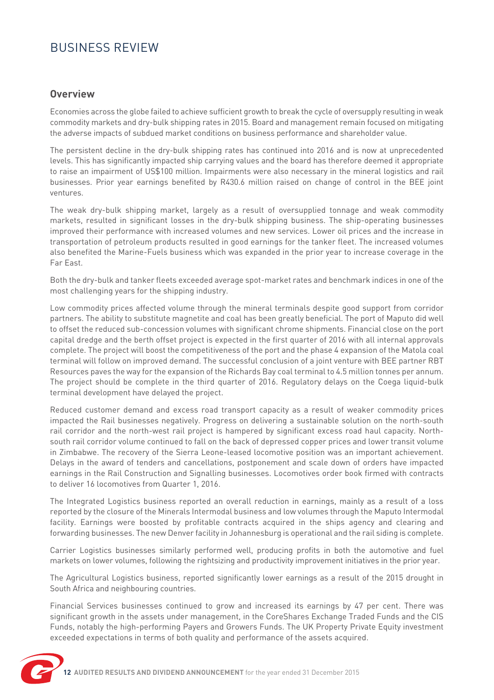# BUSINESS REVIEW

## **Overview**

Economies across the globe failed to achieve sufficient growth to break the cycle of oversupply resulting in weak commodity markets and dry-bulk shipping rates in 2015. Board and management remain focused on mitigating the adverse impacts of subdued market conditions on business performance and shareholder value.

The persistent decline in the dry-bulk shipping rates has continued into 2016 and is now at unprecedented levels. This has significantly impacted ship carrying values and the board has therefore deemed it appropriate to raise an impairment of US\$100 million. Impairments were also necessary in the mineral logistics and rail businesses. Prior year earnings benefited by R430.6 million raised on change of control in the BEE joint ventures.

The weak dry-bulk shipping market, largely as a result of oversupplied tonnage and weak commodity markets, resulted in significant losses in the dry-bulk shipping business. The ship-operating businesses improved their performance with increased volumes and new services. Lower oil prices and the increase in transportation of petroleum products resulted in good earnings for the tanker fleet. The increased volumes also benefited the Marine-Fuels business which was expanded in the prior year to increase coverage in the Far East.

Both the dry-bulk and tanker fleets exceeded average spot-market rates and benchmark indices in one of the most challenging years for the shipping industry.

Low commodity prices affected volume through the mineral terminals despite good support from corridor partners. The ability to substitute magnetite and coal has been greatly beneficial. The port of Maputo did well to offset the reduced sub-concession volumes with significant chrome shipments. Financial close on the port capital dredge and the berth offset project is expected in the first quarter of 2016 with all internal approvals complete. The project will boost the competitiveness of the port and the phase 4 expansion of the Matola coal terminal will follow on improved demand. The successful conclusion of a joint venture with BEE partner RBT Resources paves the way for the expansion of the Richards Bay coal terminal to 4.5 million tonnes per annum. The project should be complete in the third quarter of 2016. Regulatory delays on the Coega liquid-bulk terminal development have delayed the project.

Reduced customer demand and excess road transport capacity as a result of weaker commodity prices impacted the Rail businesses negatively. Progress on delivering a sustainable solution on the north-south rail corridor and the north-west rail project is hampered by significant excess road haul capacity. Northsouth rail corridor volume continued to fall on the back of depressed copper prices and lower transit volume in Zimbabwe. The recovery of the Sierra Leone-leased locomotive position was an important achievement. Delays in the award of tenders and cancellations, postponement and scale down of orders have impacted earnings in the Rail Construction and Signalling businesses. Locomotives order book firmed with contracts to deliver 16 locomotives from Quarter 1, 2016.

The Integrated Logistics business reported an overall reduction in earnings, mainly as a result of a loss reported by the closure of the Minerals Intermodal business and low volumes through the Maputo Intermodal facility. Earnings were boosted by profitable contracts acquired in the ships agency and clearing and forwarding businesses. The new Denver facility in Johannesburg is operational and the rail siding is complete.

Carrier Logistics businesses similarly performed well, producing profits in both the automotive and fuel markets on lower volumes, following the rightsizing and productivity improvement initiatives in the prior year.

The Agricultural Logistics business, reported significantly lower earnings as a result of the 2015 drought in South Africa and neighbouring countries.

Financial Services businesses continued to grow and increased its earnings by 47 per cent. There was significant growth in the assets under management, in the CoreShares Exchange Traded Funds and the CIS Funds, notably the high-performing Payers and Growers Funds. The UK Property Private Equity investment exceeded expectations in terms of both quality and performance of the assets acquired.

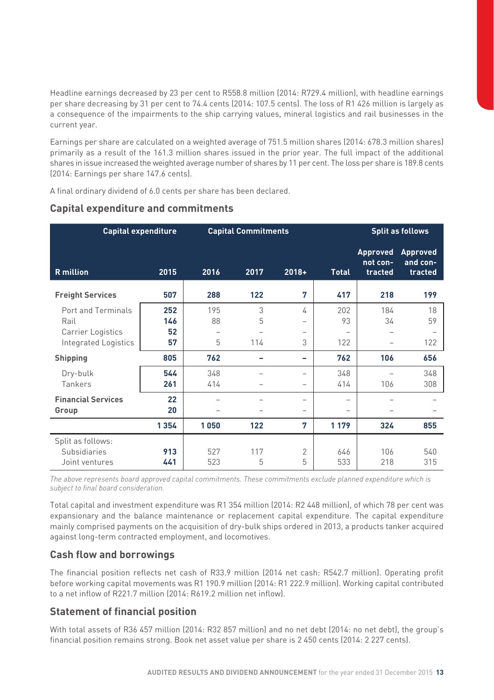Headline earnings decreased by 23 per cent to R558.8 million (2014: R729.4 million), with headline earnings per share decreasing by 31 per cent to 74.4 cents (2014: 107.5 cents). The loss of R1 426 million is largely as a consequence of the impairments to the ship carrying values, mineral logistics and rail businesses in the current year.

Earnings per share are calculated on a weighted average of 751.5 million shares (2014: 678.3 million shares) primarily as a result of the 161.3 million shares issued in the prior year. The full impact of the additional shares in issue increased the weighted average number of shares by 11 per cent. The loss per share is 189.8 cents (2014: Earnings per share 147.6 cents).

A final ordinary dividend of 6.0 cents per share has been declared.

| <b>Capital expenditure</b>                                              |                        | <b>Capital Commitments</b> |                                           |                                                                |                                              | <b>Split as follows</b>         |                                             |  |
|-------------------------------------------------------------------------|------------------------|----------------------------|-------------------------------------------|----------------------------------------------------------------|----------------------------------------------|---------------------------------|---------------------------------------------|--|
| <b>R</b> million                                                        | 2015                   | 2016                       | 2017                                      | $2018+$                                                        | <b>Total</b>                                 | Approved<br>not con-<br>tracted | Approved<br>and con-<br>tracted             |  |
| <b>Freight Services</b>                                                 | 507                    | 288                        | 122                                       | 7                                                              | 417                                          | 218                             | 199                                         |  |
| Port and Terminals<br>Rail<br>Carrier Logistics<br>Integrated Logistics | 252<br>146<br>52<br>57 | 195<br>88<br>5             | 3<br>5<br>$\overline{\phantom{a}}$<br>114 | 4<br>$\overline{\phantom{0}}$<br>$\overline{\phantom{m}}$<br>3 | 202<br>93<br>$\overline{\phantom{0}}$<br>122 | 184<br>34                       | 18<br>59<br>$\overline{\phantom{0}}$<br>122 |  |
| <b>Shipping</b>                                                         | 805                    | 762                        |                                           | -                                                              | 762                                          | 106                             | 656                                         |  |
| Dry-bulk<br>Tankers                                                     | 544<br>261             | 348<br>414                 |                                           | $\overline{\phantom{0}}$<br>$\overline{\phantom{m}}$           | 348<br>414                                   | 106                             | 348<br>308                                  |  |
| <b>Financial Services</b><br>Group                                      | 22<br>20               |                            |                                           | $\overline{\phantom{0}}$<br>$\overline{\phantom{m}}$           | ۰<br>۰                                       |                                 |                                             |  |
|                                                                         | 1354                   | 1050                       | 122                                       | 7                                                              | 1 1 7 9                                      | 324                             | 855                                         |  |
| Split as follows:<br>Subsidiaries<br>Joint ventures                     | 913<br>441             | 527<br>523                 | 117<br>5                                  | $\overline{2}$<br>5                                            | 646<br>533                                   | 106<br>218                      | 540<br>315                                  |  |

#### **Capital expenditure and commitments**

*The above represents board approved capital commitments. These commitments exclude planned expenditure which is subject to final board consideration.*

Total capital and investment expenditure was R1 354 million (2014: R2 448 million), of which 78 per cent was expansionary and the balance maintenance or replacement capital expenditure. The capital expenditure mainly comprised payments on the acquisition of dry-bulk ships ordered in 2013, a products tanker acquired against long-term contracted employment, and locomotives.

## **Cash flow and borrowings**

The financial position reflects net cash of R33.9 million (2014 net cash: R542.7 million). Operating profit before working capital movements was R1 190.9 million (2014: R1 222.9 million). Working capital contributed to a net inflow of R221.7 million (2014: R619.2 million net inflow).

## **Statement of financial position**

With total assets of R36 457 million (2014: R32 857 million) and no net debt (2014: no net debt), the group's financial position remains strong. Book net asset value per share is 2 450 cents (2014: 2 227 cents).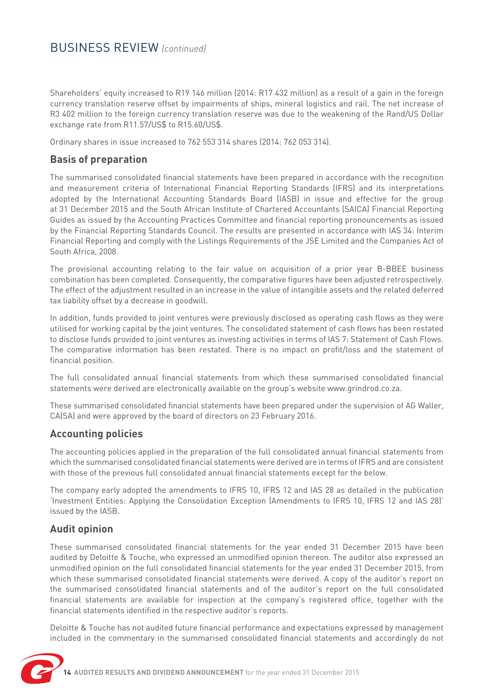## BUSINESS REVIEW *(continued)*

Shareholders' equity increased to R19 146 million (2014: R17 432 million) as a result of a gain in the foreign currency translation reserve offset by impairments of ships, mineral logistics and rail. The net increase of R3 402 million to the foreign currency translation reserve was due to the weakening of the Rand/US Dollar exchange rate from R11.57/US\$ to R15.60/US\$.

Ordinary shares in issue increased to 762 553 314 shares (2014: 762 053 314).

## **Basis of preparation**

The summarised consolidated financial statements have been prepared in accordance with the recognition and measurement criteria of International Financial Reporting Standards (IFRS) and its interpretations adopted by the International Accounting Standards Board (IASB) in issue and effective for the group at 31 December 2015 and the South African Institute of Chartered Accountants (SAICA) Financial Reporting Guides as issued by the Accounting Practices Committee and financial reporting pronouncements as issued by the Financial Reporting Standards Council. The results are presented in accordance with IAS 34: Interim Financial Reporting and comply with the Listings Requirements of the JSE Limited and the Companies Act of South Africa, 2008.

The provisional accounting relating to the fair value on acquisition of a prior year B-BBEE business combination has been completed. Consequently, the comparative figures have been adjusted retrospectively. The effect of the adjustment resulted in an increase in the value of intangible assets and the related deferred tax liability offset by a decrease in goodwill.

In addition, funds provided to joint ventures were previously disclosed as operating cash flows as they were utilised for working capital by the joint ventures. The consolidated statement of cash flows has been restated to disclose funds provided to joint ventures as investing activities in terms of IAS 7: Statement of Cash Flows. The comparative information has been restated. There is no impact on profit/loss and the statement of financial position.

The full consolidated annual financial statements from which these summarised consolidated financial statements were derived are electronically available on the group's website www.grindrod.co.za.

These summarised consolidated financial statements have been prepared under the supervision of AG Waller, CA(SA) and were approved by the board of directors on 23 February 2016.

## **Accounting policies**

The accounting policies applied in the preparation of the full consolidated annual financial statements from which the summarised consolidated financial statements were derived are in terms of IFRS and are consistent with those of the previous full consolidated annual financial statements except for the below.

The company early adopted the amendments to IFRS 10, IFRS 12 and IAS 28 as detailed in the publication 'Investment Entities: Applying the Consolidation Exception (Amendments to IFRS 10, IFRS 12 and IAS 28)' issued by the IASB.

## **Audit opinion**

These summarised consolidated financial statements for the year ended 31 December 2015 have been audited by Deloitte & Touche, who expressed an unmodified opinion thereon. The auditor also expressed an unmodified opinion on the full consolidated financial statements for the year ended 31 December 2015, from which these summarised consolidated financial statements were derived. A copy of the auditor's report on the summarised consolidated financial statements and of the auditor's report on the full consolidated financial statements are available for inspection at the company's registered office, together with the financial statements identified in the respective auditor's reports.

Deloitte & Touche has not audited future financial performance and expectations expressed by management included in the commentary in the summarised consolidated financial statements and accordingly do not

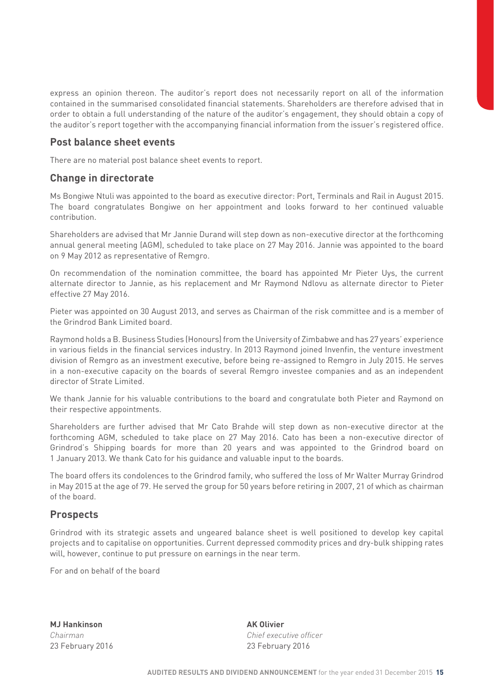express an opinion thereon. The auditor's report does not necessarily report on all of the information contained in the summarised consolidated financial statements. Shareholders are therefore advised that in order to obtain a full understanding of the nature of the auditor's engagement, they should obtain a copy of the auditor's report together with the accompanying financial information from the issuer's registered office.

#### **Post balance sheet events**

There are no material post balance sheet events to report.

#### **Change in directorate**

Ms Bongiwe Ntuli was appointed to the board as executive director: Port, Terminals and Rail in August 2015. The board congratulates Bongiwe on her appointment and looks forward to her continued valuable contribution.

Shareholders are advised that Mr Jannie Durand will step down as non-executive director at the forthcoming annual general meeting (AGM), scheduled to take place on 27 May 2016. Jannie was appointed to the board on 9 May 2012 as representative of Remgro.

On recommendation of the nomination committee, the board has appointed Mr Pieter Uys, the current alternate director to Jannie, as his replacement and Mr Raymond Ndlovu as alternate director to Pieter effective 27 May 2016.

Pieter was appointed on 30 August 2013, and serves as Chairman of the risk committee and is a member of the Grindrod Bank Limited board.

Raymond holds a B. Business Studies (Honours) from the University of Zimbabwe and has 27 years' experience in various fields in the financial services industry. In 2013 Raymond joined Invenfin, the venture investment division of Remgro as an investment executive, before being re-assigned to Remgro in July 2015. He serves in a non-executive capacity on the boards of several Remgro investee companies and as an independent director of Strate Limited.

We thank Jannie for his valuable contributions to the board and congratulate both Pieter and Raymond on their respective appointments.

Shareholders are further advised that Mr Cato Brahde will step down as non-executive director at the forthcoming AGM, scheduled to take place on 27 May 2016. Cato has been a non-executive director of Grindrod's Shipping boards for more than 20 years and was appointed to the Grindrod board on 1 January 2013. We thank Cato for his guidance and valuable input to the boards.

The board offers its condolences to the Grindrod family, who suffered the loss of Mr Walter Murray Grindrod in May 2015 at the age of 79. He served the group for 50 years before retiring in 2007, 21 of which as chairman of the board.

#### **Prospects**

Grindrod with its strategic assets and ungeared balance sheet is well positioned to develop key capital projects and to capitalise on opportunities. Current depressed commodity prices and dry-bulk shipping rates will, however, continue to put pressure on earnings in the near term.

For and on behalf of the board

**MJ Hankinson** AK Olivier 23 February 2016 23 February 2016

*Chairman Chief executive officer*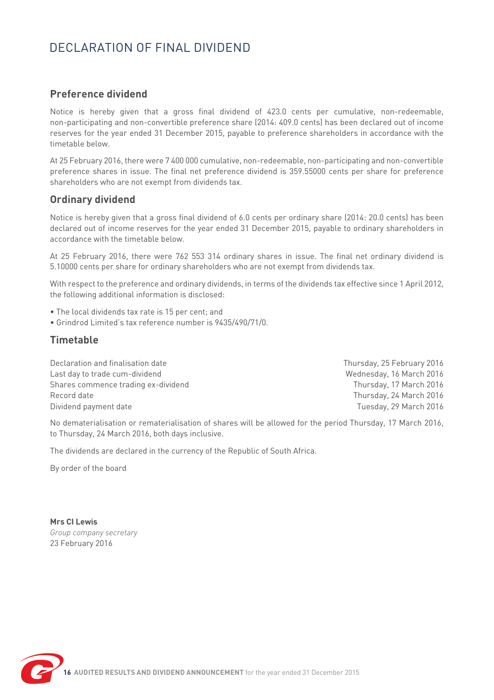# DECLARATION OF FINAL DIVIDEND

## **Preference dividend**

Notice is hereby given that a gross final dividend of 423.0 cents per cumulative, non-redeemable, non-participating and non-convertible preference share (2014: 409.0 cents) has been declared out of income reserves for the year ended 31 December 2015, payable to preference shareholders in accordance with the timetable below.

At 25 February 2016, there were 7 400 000 cumulative, non-redeemable, non-participating and non-convertible preference shares in issue. The final net preference dividend is 359.55000 cents per share for preference shareholders who are not exempt from dividends tax.

## **Ordinary dividend**

Notice is hereby given that a gross final dividend of 6.0 cents per ordinary share (2014: 20.0 cents) has been declared out of income reserves for the year ended 31 December 2015, payable to ordinary shareholders in accordance with the timetable below.

At 25 February 2016, there were 762 553 314 ordinary shares in issue. The final net ordinary dividend is 5.10000 cents per share for ordinary shareholders who are not exempt from dividends tax.

With respect to the preference and ordinary dividends, in terms of the dividends tax effective since 1 April 2012, the following additional information is disclosed:

- The local dividends tax rate is 15 per cent; and
- Grindrod Limited's tax reference number is 9435/490/71/0.

## **Timetable**

| Declaration and finalisation date   | Thursday, 25 February 2016 |
|-------------------------------------|----------------------------|
| Last day to trade cum-dividend      | Wednesday, 16 March 2016   |
| Shares commence trading ex-dividend | Thursday, 17 March 2016    |
| Record date                         | Thursday, 24 March 2016    |
| Dividend payment date               | Tuesday, 29 March 2016     |

No dematerialisation or rematerialisation of shares will be allowed for the period Thursday, 17 March 2016, to Thursday, 24 March 2016, both days inclusive.

The dividends are declared in the currency of the Republic of South Africa.

By order of the board

**Mrs CI Lewis** *Group company secretary* 23 February 2016

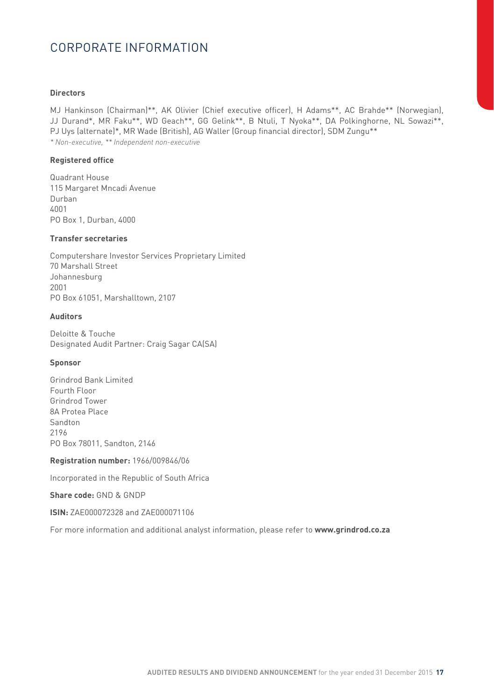# CORPORATE INFORMATION

#### **Directors**

MJ Hankinson (Chairman)\*\*, AK Olivier (Chief executive officer), H Adams\*\*, AC Brahde\*\* (Norwegian), JJ Durand\*, MR Faku\*\*, WD Geach\*\*, GG Gelink\*\*, B Ntuli, T Nyoka\*\*, DA Polkinghorne, NL Sowazi\*\*, PJ Uys (alternate)\*, MR Wade (British), AG Waller (Group financial director), SDM Zungu\*\* *\* Non-executive, \*\* Independent non-executive*

#### **Registered office**

Quadrant House 115 Margaret Mncadi Avenue Durban 4001 PO Box 1, Durban, 4000

#### **Transfer secretaries**

Computershare Investor Services Proprietary Limited 70 Marshall Street Johannesburg 2001 PO Box 61051, Marshalltown, 2107

#### **Auditors**

Deloitte & Touche Designated Audit Partner: Craig Sagar CA(SA)

#### **Sponsor**

Grindrod Bank Limited Fourth Floor Grindrod Tower 8A Protea Place Sandton 2196 PO Box 78011, Sandton, 2146

#### **Registration number:** 1966/009846/06

Incorporated in the Republic of South Africa

#### **Share code:** GND & GNDP

#### **ISIN:** ZAE000072328 and ZAE000071106

For more information and additional analyst information, please refer to **www.grindrod.co.za**